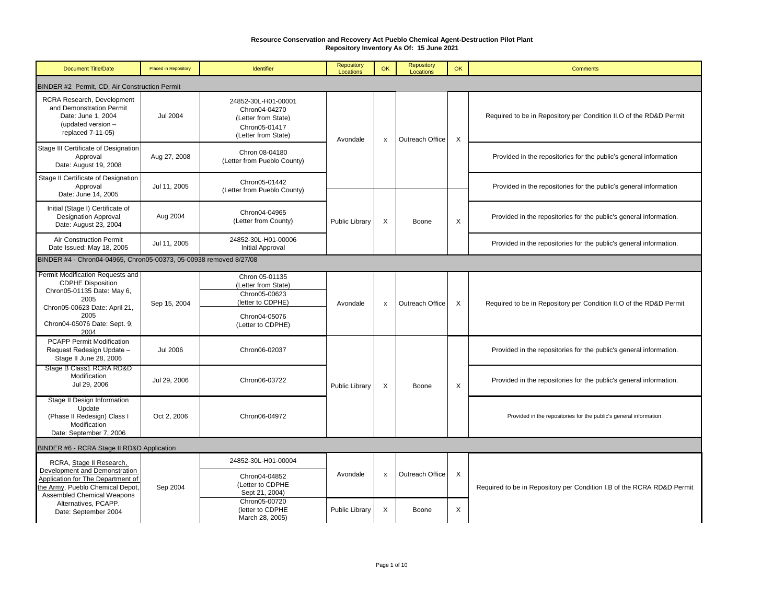| <b>Document Title/Date</b>                                                                                                                                       | <b>Placed in Repository</b> | Identifier                                                                                          | Repository<br>Locations | OK                        | Repository<br>Locations | OK       | <b>Comments</b>                                                        |
|------------------------------------------------------------------------------------------------------------------------------------------------------------------|-----------------------------|-----------------------------------------------------------------------------------------------------|-------------------------|---------------------------|-------------------------|----------|------------------------------------------------------------------------|
| BINDER #2 Permit, CD, Air Construction Permit                                                                                                                    |                             |                                                                                                     |                         |                           |                         |          |                                                                        |
| RCRA Research, Development<br>and Demonstration Permit<br>Date: June 1, 2004<br>(updated version -<br>replaced 7-11-05)                                          | <b>Jul 2004</b>             | 24852-30L-H01-00001<br>Chron04-04270<br>(Letter from State)<br>Chron05-01417<br>(Letter from State) | Avondale                | x                         | Outreach Office         | Χ        | Required to be in Repository per Condition II.O of the RD&D Permit     |
| Stage III Certificate of Designation<br>Approval<br>Date: August 19, 2008                                                                                        | Aug 27, 2008                | Chron 08-04180<br>(Letter from Pueblo County)                                                       |                         |                           |                         |          | Provided in the repositories for the public's general information      |
| Stage II Certificate of Designation<br>Approval<br>Date: June 14, 2005                                                                                           | Jul 11, 2005                | Chron05-01442<br>(Letter from Pueblo County)                                                        |                         |                           |                         |          | Provided in the repositories for the public's general information      |
| Initial (Stage I) Certificate of<br><b>Designation Approval</b><br>Date: August 23, 2004                                                                         | Aug 2004                    | Chron04-04965<br>(Letter from County)                                                               | <b>Public Library</b>   | X                         | Boone                   | X        | Provided in the repositories for the public's general information.     |
| Air Construction Permit<br>Date Issued: May 18, 2005                                                                                                             | Jul 11, 2005                | 24852-30L-H01-00006<br>Initial Approval                                                             |                         |                           |                         |          | Provided in the repositories for the public's general information.     |
| BINDER #4 - Chron04-04965, Chron05-00373, 05-00938 removed 8/27/08                                                                                               |                             |                                                                                                     |                         |                           |                         |          |                                                                        |
| Permit Modification Requests and<br><b>CDPHE Disposition</b><br>Chron05-01135 Date: May 6,<br>2005<br>Chron05-00623 Date: April 21,                              | Sep 15, 2004                | Chron 05-01135<br>(Letter from State)<br>Chron05-00623<br>(letter to CDPHE)                         | Avondale                | X                         | Outreach Office         | X        | Required to be in Repository per Condition II.O of the RD&D Permit     |
| 2005<br>Chron04-05076 Date: Sept. 9,<br>2004                                                                                                                     |                             | Chron04-05076<br>(Letter to CDPHE)                                                                  |                         |                           |                         |          |                                                                        |
| <b>PCAPP Permit Modification</b><br>Request Redesign Update -<br>Stage II June 28, 2006                                                                          | <b>Jul 2006</b>             | Chron06-02037                                                                                       |                         |                           |                         |          | Provided in the repositories for the public's general information.     |
| Stage B Class1 RCRA RD&D<br>Modification<br>Jul 29, 2006                                                                                                         | Jul 29, 2006                | Chron06-03722                                                                                       | Public Library          | X                         | Boone                   | $\times$ | Provided in the repositories for the public's general information.     |
| Stage II Design Information<br>Update<br>(Phase II Redesign) Class I<br>Modification<br>Date: September 7, 2006                                                  | Oct 2, 2006                 | Chron06-04972                                                                                       |                         |                           |                         |          | Provided in the repositories for the public's general information.     |
| BINDER #6 - RCRA Stage II RD&D Application                                                                                                                       |                             |                                                                                                     |                         |                           |                         |          |                                                                        |
| RCRA, Stage II Research,<br>Development and Demonstration<br>Application for The Department of<br>the Army, Pueblo Chemical Depot,<br>Assembled Chemical Weapons | Sep 2004                    | 24852-30L-H01-00004<br>Chron04-04852<br>(Letter to CDPHE<br>Sept 21, 2004)                          | Avondale                | $\boldsymbol{\mathsf{x}}$ | Outreach Office         | X        | Required to be in Repository per Condition I.B of the RCRA RD&D Permit |
| Alternatives, PCAPP.<br>Date: September 2004                                                                                                                     |                             | Chron05-00720<br>(letter to CDPHE<br>March 28, 2005)                                                | <b>Public Library</b>   | X                         | Boone                   | Χ        |                                                                        |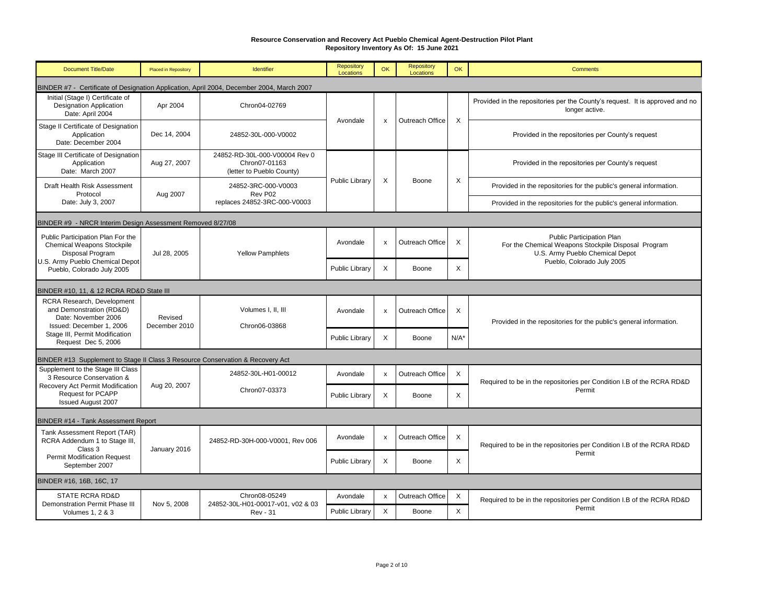| <b>Document Title/Date</b>                                                                                | <b>Placed in Repository</b>                                                               | Identifier                                                                  | Repository<br>Locations    | OK             | Repository<br>Locations  | <b>OK</b>                 | <b>Comments</b>                                                                                                                          |  |  |
|-----------------------------------------------------------------------------------------------------------|-------------------------------------------------------------------------------------------|-----------------------------------------------------------------------------|----------------------------|----------------|--------------------------|---------------------------|------------------------------------------------------------------------------------------------------------------------------------------|--|--|
|                                                                                                           | BINDER #7 - Certificate of Designation Application, April 2004, December 2004, March 2007 |                                                                             |                            |                |                          |                           |                                                                                                                                          |  |  |
| Initial (Stage I) Certificate of<br><b>Designation Application</b><br>Date: April 2004                    | Apr 2004                                                                                  | Chron04-02769                                                               | Avondale                   |                | Outreach Office          | $\boldsymbol{\mathsf{X}}$ | Provided in the repositories per the County's request. It is approved and no<br>longer active.                                           |  |  |
| Stage II Certificate of Designation<br>Application<br>Date: December 2004                                 | Dec 14, 2004                                                                              | 24852-30L-000-V0002                                                         |                            | $\mathsf{x}$   |                          |                           | Provided in the repositories per County's request                                                                                        |  |  |
| Stage III Certificate of Designation<br>Application<br>Date: March 2007                                   | Aug 27, 2007                                                                              | 24852-RD-30L-000-V00004 Rev 0<br>Chron07-01163<br>(letter to Pueblo County) |                            |                |                          |                           | Provided in the repositories per County's request                                                                                        |  |  |
| Draft Health Risk Assessment<br>Protocol<br>Date: July 3, 2007                                            | Aug 2007                                                                                  | 24852-3RC-000-V0003<br>Rev P02<br>replaces 24852-3RC-000-V0003              | <b>Public Library</b>      | X              | Boone                    | X                         | Provided in the repositories for the public's general information.<br>Provided in the repositories for the public's general information. |  |  |
| BINDER #9 - NRCR Interim Design Assessment Removed 8/27/08                                                |                                                                                           |                                                                             |                            |                |                          |                           |                                                                                                                                          |  |  |
| Public Participation Plan For the<br><b>Chemical Weapons Stockpile</b><br>Disposal Program                | Jul 28, 2005                                                                              | <b>Yellow Pamphlets</b>                                                     | Avondale                   | $\pmb{\times}$ | Outreach Office          | X                         | Public Participation Plan<br>For the Chemical Weapons Stockpile Disposal Program<br>U.S. Army Pueblo Chemical Depot                      |  |  |
| U.S. Army Pueblo Chemical Depot<br>Pueblo, Colorado July 2005                                             |                                                                                           |                                                                             | Public Library             | $\times$       | Boone                    | $\mathsf{x}$              | Pueblo, Colorado July 2005                                                                                                               |  |  |
| BINDER #10, 11, & 12 RCRA RD&D State III                                                                  |                                                                                           |                                                                             |                            |                |                          |                           |                                                                                                                                          |  |  |
| RCRA Research, Development<br>and Demonstration (RD&D)<br>Date: November 2006<br>Issued: December 1, 2006 | Revised<br>December 2010                                                                  | Volumes I, II, III<br>Chron06-03868                                         | Avondale                   | $\pmb{\times}$ | Outreach Office          | X                         | Provided in the repositories for the public's general information.                                                                       |  |  |
| Stage III, Permit Modification<br>Request Dec 5, 2006                                                     |                                                                                           |                                                                             | Public Library             | X              | Boone                    | $N/A^*$                   |                                                                                                                                          |  |  |
| BINDER #13 Supplement to Stage II Class 3 Resource Conservation & Recovery Act                            |                                                                                           |                                                                             |                            |                |                          |                           |                                                                                                                                          |  |  |
| Supplement to the Stage III Class<br>3 Resource Conservation &                                            |                                                                                           | 24852-30L-H01-00012                                                         | Avondale                   | x              | Outreach Office          | $\times$                  | Required to be in the repositories per Condition I.B of the RCRA RD&D                                                                    |  |  |
| Recovery Act Permit Modification<br><b>Request for PCAPP</b><br><b>Issued August 2007</b>                 | Aug 20, 2007                                                                              | Chron07-03373                                                               | <b>Public Library</b>      | X              | Boone                    | X                         | Permit                                                                                                                                   |  |  |
| BINDER #14 - Tank Assessment Report                                                                       |                                                                                           |                                                                             |                            |                |                          |                           |                                                                                                                                          |  |  |
| Tank Assessment Report (TAR)<br>RCRA Addendum 1 to Stage III,<br>Class 3                                  | January 2016                                                                              | 24852-RD-30H-000-V0001, Rev 006                                             | Avondale                   | X              | Outreach Office          | $\times$                  | Required to be in the repositories per Condition I.B of the RCRA RD&D                                                                    |  |  |
| <b>Permit Modification Request</b><br>September 2007                                                      |                                                                                           |                                                                             | Public Library             | $\mathsf{x}$   | Boone                    | $\mathsf{x}$              | Permit                                                                                                                                   |  |  |
| BINDER #16, 16B, 16C, 17                                                                                  |                                                                                           |                                                                             |                            |                |                          |                           |                                                                                                                                          |  |  |
| <b>STATE RCRA RD&amp;D</b><br>Demonstration Permit Phase III<br><b>Volumes 1, 2 &amp; 3</b>               | Nov 5, 2008                                                                               | Chron08-05249<br>24852-30L-H01-00017-v01, v02 & 03<br><b>Rev - 31</b>       | Avondale<br>Public Library | x<br>X         | Outreach Office<br>Boone | X<br>X                    | Required to be in the repositories per Condition I.B of the RCRA RD&D<br>Permit                                                          |  |  |
|                                                                                                           |                                                                                           |                                                                             |                            |                |                          |                           |                                                                                                                                          |  |  |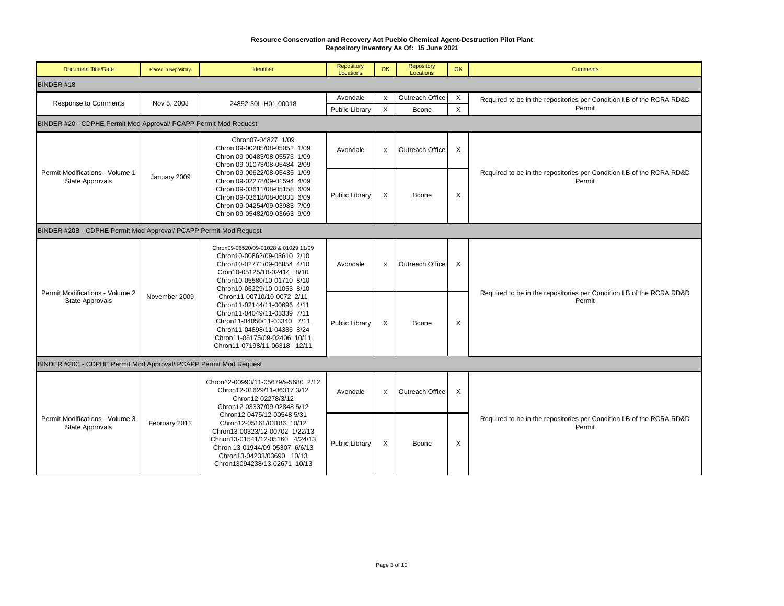| <b>Document Title/Date</b>                                        | <b>Placed in Repository</b>                                         | <b>Identifier</b>                                                                                                                                                                                                                                                                                                                                                                                                        | <b>Repository</b><br>Locations | OK           | Repository<br>Locations | <b>OK</b> | <b>Comments</b>                                                                 |  |  |
|-------------------------------------------------------------------|---------------------------------------------------------------------|--------------------------------------------------------------------------------------------------------------------------------------------------------------------------------------------------------------------------------------------------------------------------------------------------------------------------------------------------------------------------------------------------------------------------|--------------------------------|--------------|-------------------------|-----------|---------------------------------------------------------------------------------|--|--|
| BINDER #18                                                        |                                                                     |                                                                                                                                                                                                                                                                                                                                                                                                                          |                                |              |                         |           |                                                                                 |  |  |
| <b>Response to Comments</b>                                       | Nov 5, 2008                                                         | 24852-30L-H01-00018                                                                                                                                                                                                                                                                                                                                                                                                      | Avondale                       | $\mathsf{x}$ | Outreach Office         | $\times$  | Required to be in the repositories per Condition I.B of the RCRA RD&D           |  |  |
|                                                                   |                                                                     |                                                                                                                                                                                                                                                                                                                                                                                                                          | Public Library                 | X            | Boone                   | $\times$  | Permit                                                                          |  |  |
| BINDER #20 - CDPHE Permit Mod Approval/ PCAPP Permit Mod Request  |                                                                     |                                                                                                                                                                                                                                                                                                                                                                                                                          |                                |              |                         |           |                                                                                 |  |  |
|                                                                   |                                                                     | Chron07-04827 1/09<br>Chron 09-00285/08-05052 1/09<br>Chron 09-00485/08-05573 1/09<br>Chron 09-01073/08-05484 2/09                                                                                                                                                                                                                                                                                                       | Avondale                       | $\mathbf{x}$ | Outreach Office         | X         |                                                                                 |  |  |
| Permit Modifications - Volume 1<br>State Approvals                | January 2009                                                        | Chron 09-00622/08-05435 1/09<br>Chron 09-02278/09-01594 4/09<br>Chron 09-03611/08-05158 6/09<br>Chron 09-03618/08-06033 6/09<br>Chron 09-04254/09-03983 7/09<br>Chron 09-05482/09-03663 9/09                                                                                                                                                                                                                             | Public Library                 | X            | Boone                   | X         | Required to be in the repositories per Condition I.B of the RCRA RD&D<br>Permit |  |  |
| BINDER #20B - CDPHE Permit Mod Approval/ PCAPP Permit Mod Request |                                                                     |                                                                                                                                                                                                                                                                                                                                                                                                                          |                                |              |                         |           |                                                                                 |  |  |
|                                                                   | Permit Modifications - Volume 2<br>November 2009<br>State Approvals | Chron09-06520/09-01028 & 01029 11/09<br>Chron10-00862/09-03610 2/10<br>Chron10-02771/09-06854 4/10<br>Cron10-05125/10-02414 8/10<br>Chron10-05580/10-01710 8/10<br>Chron10-06229/10-01053 8/10<br>Chron11-00710/10-0072 2/11<br>Chron11-02144/11-00696 4/11<br>Chron11-04049/11-03339 7/11<br>Chron11-04050/11-03340 7/11<br>Chron11-04898/11-04386 8/24<br>Chron11-06175/09-02406 10/11<br>Chron11-07198/11-06318 12/11 | Avondale                       | $\mathsf{x}$ | Outreach Office         | X         |                                                                                 |  |  |
|                                                                   |                                                                     |                                                                                                                                                                                                                                                                                                                                                                                                                          | Public Library                 | X            | Boone                   | X         | Required to be in the repositories per Condition I.B of the RCRA RD&D<br>Permit |  |  |
| BINDER #20C - CDPHE Permit Mod Approval/ PCAPP Permit Mod Request |                                                                     |                                                                                                                                                                                                                                                                                                                                                                                                                          |                                |              |                         |           |                                                                                 |  |  |
|                                                                   |                                                                     | Chron12-00993/11-05679&-5680 2/12<br>Chron12-01629/11-06317 3/12<br>Chron12-02278/3/12<br>Chron12-03337/09-02848 5/12                                                                                                                                                                                                                                                                                                    | Avondale                       | $\pmb{\chi}$ | Outreach Office         | $\sf X$   |                                                                                 |  |  |
| Permit Modifications - Volume 3<br>State Approvals                | February 2012                                                       | Chron12-0475/12-00548 5/31<br>Chron12-05161/03186 10/12<br>Chron13-00323/12-00702 1/22/13<br>Chrion13-01541/12-05160 4/24/13<br>Chron 13-01944/09-05307 6/6/13<br>Chron13-04233/03690 10/13<br>Chron13094238/13-02671 10/13                                                                                                                                                                                              | Public Library                 | X            | Boone                   | X         | Required to be in the repositories per Condition I.B of the RCRA RD&D<br>Permit |  |  |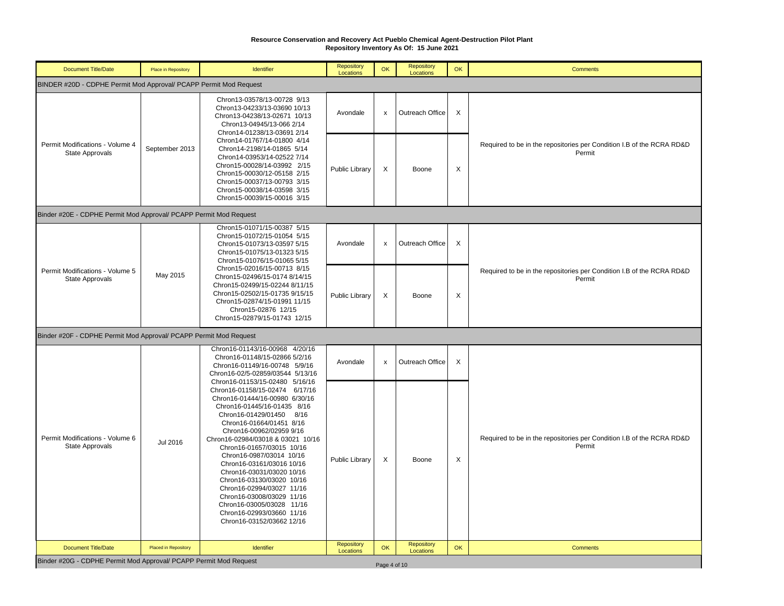| <b>Document Title/Date</b>                                        | Place in Repository         | <b>Identifier</b>                                                                                                                                                                                                                                                                                                                                                                                                                                                                                                                                           | Repository<br>Locations        | OK                 | Repository<br>Locations        | OK                        | <b>Comments</b>                                                                 |  |  |  |
|-------------------------------------------------------------------|-----------------------------|-------------------------------------------------------------------------------------------------------------------------------------------------------------------------------------------------------------------------------------------------------------------------------------------------------------------------------------------------------------------------------------------------------------------------------------------------------------------------------------------------------------------------------------------------------------|--------------------------------|--------------------|--------------------------------|---------------------------|---------------------------------------------------------------------------------|--|--|--|
| BINDER #20D - CDPHE Permit Mod Approval/ PCAPP Permit Mod Request |                             |                                                                                                                                                                                                                                                                                                                                                                                                                                                                                                                                                             |                                |                    |                                |                           |                                                                                 |  |  |  |
|                                                                   |                             | Chron13-03578/13-00728 9/13<br>Chron13-04233/13-03690 10/13<br>Chron13-04238/13-02671 10/13<br>Chron13-04945/13-066 2/14<br>Chron14-01238/13-03691 2/14                                                                                                                                                                                                                                                                                                                                                                                                     | Avondale                       | $\pmb{\mathsf{x}}$ | Outreach Office                | $\times$                  |                                                                                 |  |  |  |
| Permit Modifications - Volume 4<br><b>State Approvals</b>         | September 2013              | Chron14-01767/14-01800 4/14<br>Chron14-2198/14-01865 5/14<br>Chron14-03953/14-02522 7/14<br>Chron15-00028/14-03992 2/15<br>Chron15-00030/12-05158 2/15<br>Chron15-00037/13-00793 3/15<br>Chron15-00038/14-03598 3/15<br>Chron15-00039/15-00016 3/15                                                                                                                                                                                                                                                                                                         | Public Library                 | $\sf X$            | Boone                          | X                         | Required to be in the repositories per Condition I.B of the RCRA RD&D<br>Permit |  |  |  |
| Binder #20E - CDPHE Permit Mod Approval/ PCAPP Permit Mod Request |                             |                                                                                                                                                                                                                                                                                                                                                                                                                                                                                                                                                             |                                |                    |                                |                           |                                                                                 |  |  |  |
|                                                                   |                             | Chron15-01071/15-00387 5/15<br>Chron15-01072/15-01054 5/15<br>Chron15-01073/13-03597 5/15<br>Chron15-01075/13-01323 5/15<br>Chron15-01076/15-01065 5/15                                                                                                                                                                                                                                                                                                                                                                                                     | Avondale                       | $\pmb{\mathsf{x}}$ | Outreach Office                | $\boldsymbol{\mathsf{X}}$ |                                                                                 |  |  |  |
| Permit Modifications - Volume 5<br><b>State Approvals</b>         | May 2015                    | Chron15-02016/15-00713 8/15<br>Chron15-02496/15-0174 8/14/15<br>Chron15-02499/15-02244 8/11/15<br>Chron15-02502/15-01735 9/15/15<br>Chron15-02874/15-01991 11/15<br>Chron15-02876 12/15<br>Chron15-02879/15-01743 12/15                                                                                                                                                                                                                                                                                                                                     | <b>Public Library</b>          | X                  | Boone                          | X                         | Required to be in the repositories per Condition I.B of the RCRA RD&D<br>Permit |  |  |  |
| Binder #20F - CDPHE Permit Mod Approval/ PCAPP Permit Mod Request |                             |                                                                                                                                                                                                                                                                                                                                                                                                                                                                                                                                                             |                                |                    |                                |                           |                                                                                 |  |  |  |
|                                                                   |                             | Chron16-01143/16-00968 4/20/16<br>Chron16-01148/15-02866 5/2/16<br>Chron16-01149/16-00748 5/9/16<br>Chron16-02/5-02859/03544 5/13/16                                                                                                                                                                                                                                                                                                                                                                                                                        | Avondale                       | $\pmb{\mathsf{x}}$ | Outreach Office                | $\boldsymbol{\mathsf{X}}$ |                                                                                 |  |  |  |
| Permit Modifications - Volume 6<br><b>State Approvals</b>         | Jul 2016                    | Chron16-01153/15-02480 5/16/16<br>Chron16-01158/15-02474 6/17/16<br>Chron16-01444/16-00980 6/30/16<br>Chron16-01445/16-01435 8/16<br>Chron16-01429/01450 8/16<br>Chron16-01664/01451 8/16<br>Chron16-00962/02959 9/16<br>Chron16-02984/03018 & 03021 10/16<br>Chron16-01657/03015 10/16<br>Chron16-0987/03014 10/16<br>Chron16-03161/03016 10/16<br>Chron16-03031/03020 10/16<br>Chron16-03130/03020 10/16<br>Chron16-02994/03027 11/16<br>Chron16-03008/03029 11/16<br>Chron16-03005/03028 11/16<br>Chron16-02993/03660 11/16<br>Chron16-03152/03662 12/16 | <b>Public Library</b>          | $\times$           | Boone                          | X                         | Required to be in the repositories per Condition I.B of the RCRA RD&D<br>Permit |  |  |  |
| <b>Document Title/Date</b>                                        | <b>Placed in Repository</b> | <b>Identifier</b>                                                                                                                                                                                                                                                                                                                                                                                                                                                                                                                                           | <b>Repository</b><br>Locations | <b>OK</b>          | <b>Repository</b><br>Locations | OK                        | <b>Comments</b>                                                                 |  |  |  |
| Binder #20G - CDPHE Permit Mod Approval/ PCAPP Permit Mod Request |                             |                                                                                                                                                                                                                                                                                                                                                                                                                                                                                                                                                             |                                | Page 4 of 10       |                                |                           |                                                                                 |  |  |  |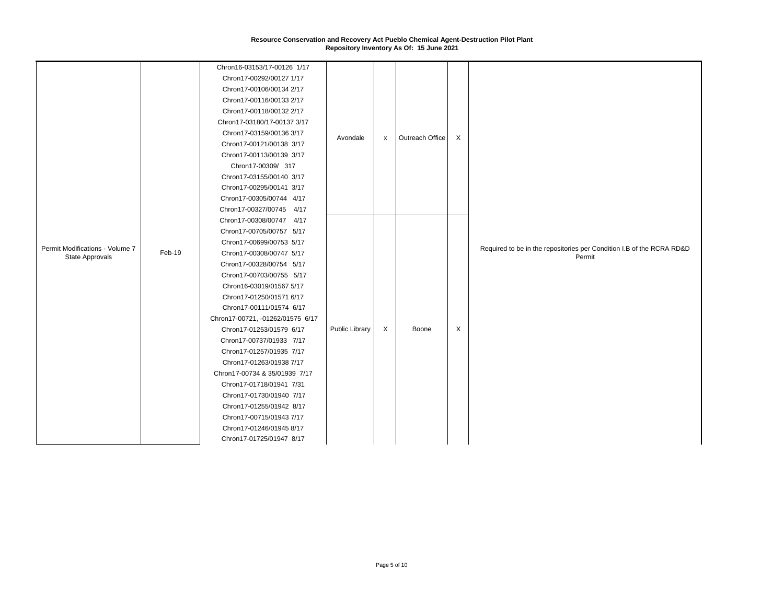|                                 |        | Chron16-03153/17-00126 1/17<br>Chron17-00292/00127 1/17 |                |                           |                 |   |                                                                                 |
|---------------------------------|--------|---------------------------------------------------------|----------------|---------------------------|-----------------|---|---------------------------------------------------------------------------------|
|                                 |        | Chron17-00106/00134 2/17                                | Avondale       | $\boldsymbol{\mathsf{x}}$ |                 |   |                                                                                 |
|                                 |        | Chron17-00116/00133 2/17                                |                |                           | Outreach Office |   |                                                                                 |
|                                 |        | Chron17-00118/00132 2/17                                |                |                           |                 |   |                                                                                 |
|                                 |        | Chron17-03180/17-00137 3/17                             |                |                           |                 |   |                                                                                 |
|                                 |        | Chron17-03159/00136 3/17                                |                |                           |                 | X |                                                                                 |
|                                 |        | Chron17-00121/00138 3/17                                |                |                           |                 |   |                                                                                 |
|                                 |        | Chron17-00113/00139 3/17                                |                |                           |                 |   |                                                                                 |
|                                 |        | Chron17-00309/ 317                                      |                |                           |                 |   |                                                                                 |
|                                 |        | Chron17-03155/00140 3/17                                |                |                           |                 |   |                                                                                 |
|                                 |        | Chron17-00295/00141 3/17                                |                |                           |                 |   |                                                                                 |
|                                 |        | Chron17-00305/00744 4/17                                |                |                           |                 |   |                                                                                 |
|                                 |        | Chron17-00327/00745 4/17                                |                |                           |                 |   |                                                                                 |
|                                 |        | Chron17-00308/00747 4/17                                |                |                           |                 |   |                                                                                 |
|                                 | Feb-19 | Chron17-00705/00757 5/17                                |                |                           |                 |   | Required to be in the repositories per Condition I.B of the RCRA RD&D<br>Permit |
| Permit Modifications - Volume 7 |        | Chron17-00699/00753 5/17                                |                |                           |                 |   |                                                                                 |
| <b>State Approvals</b>          |        | Chron17-00308/00747 5/17                                |                |                           |                 |   |                                                                                 |
|                                 |        | Chron17-00328/00754 5/17                                |                |                           |                 |   |                                                                                 |
|                                 |        | Chron17-00703/00755 5/17                                |                |                           |                 |   |                                                                                 |
|                                 |        | Chron16-03019/01567 5/17                                |                |                           |                 |   |                                                                                 |
|                                 |        | Chron17-01250/01571 6/17                                |                |                           |                 |   |                                                                                 |
|                                 |        | Chron17-00111/01574 6/17                                |                |                           |                 |   |                                                                                 |
|                                 |        | Chron17-00721, -01262/01575 6/17                        |                |                           |                 |   |                                                                                 |
|                                 |        | Chron17-01253/01579 6/17                                | Public Library | X                         | Boone           | X |                                                                                 |
|                                 |        | Chron17-00737/01933 7/17                                |                |                           |                 |   |                                                                                 |
|                                 |        | Chron17-01257/01935 7/17                                |                |                           |                 |   |                                                                                 |
|                                 |        | Chron17-01263/01938 7/17                                |                |                           |                 |   |                                                                                 |
|                                 |        | Chron17-00734 & 35/01939 7/17                           |                |                           |                 |   |                                                                                 |
|                                 |        | Chron17-01718/01941 7/31<br>Chron17-01730/01940 7/17    |                |                           |                 |   |                                                                                 |
|                                 |        | Chron17-01255/01942 8/17                                |                |                           |                 |   |                                                                                 |
|                                 |        | Chron17-00715/01943 7/17                                |                |                           |                 |   |                                                                                 |
|                                 |        | Chron17-01246/01945 8/17                                |                |                           |                 |   |                                                                                 |
|                                 |        |                                                         |                |                           |                 |   |                                                                                 |
|                                 |        | Chron17-01725/01947 8/17                                |                |                           |                 |   |                                                                                 |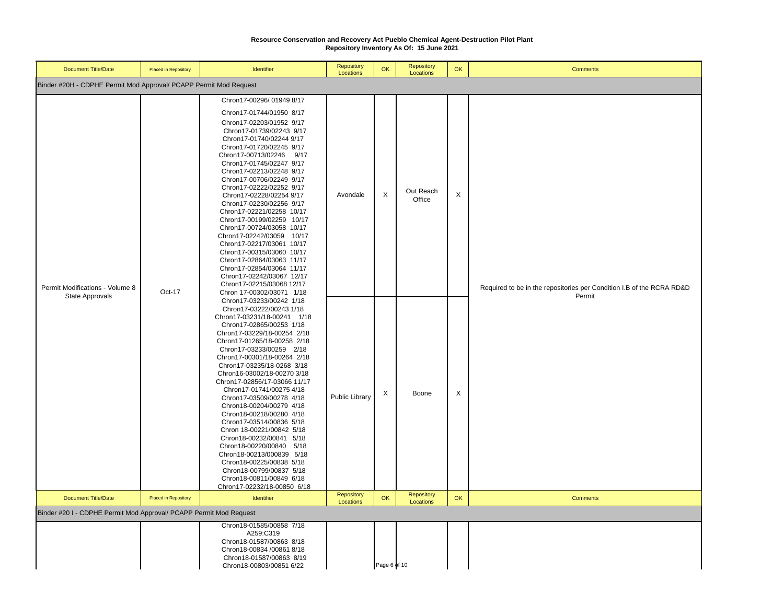| <b>Document Title/Date</b>                                         | Placed in Repository        | <b>Identifier</b>                                                                                                                                                                                                                                                                                                                                                                                                                                                                                                                                                                                                                                                                                                      | Repository<br>Locations        | OK           | Repository<br>Locations        | OK | <b>Comments</b>                                                                 |
|--------------------------------------------------------------------|-----------------------------|------------------------------------------------------------------------------------------------------------------------------------------------------------------------------------------------------------------------------------------------------------------------------------------------------------------------------------------------------------------------------------------------------------------------------------------------------------------------------------------------------------------------------------------------------------------------------------------------------------------------------------------------------------------------------------------------------------------------|--------------------------------|--------------|--------------------------------|----|---------------------------------------------------------------------------------|
| Binder #20H - CDPHE Permit Mod Approval/ PCAPP Permit Mod Request  |                             |                                                                                                                                                                                                                                                                                                                                                                                                                                                                                                                                                                                                                                                                                                                        |                                |              |                                |    |                                                                                 |
| Permit Modifications - Volume 8                                    | Oct-17                      | Chron17-00296/01949 8/17<br>Chron17-01744/01950 8/17<br>Chron17-02203/01952 9/17<br>Chron17-01739/02243 9/17<br>Chron17-01740/02244 9/17<br>Chron17-01720/02245 9/17<br>Chron17-00713/02246 9/17<br>Chron17-01745/02247 9/17<br>Chron17-02213/02248 9/17<br>Chron17-00706/02249 9/17<br>Chron17-02222/02252 9/17<br>Chron17-02228/02254 9/17<br>Chron17-02230/02256 9/17<br>Chron17-02221/02258 10/17<br>Chron17-00199/02259 10/17<br>Chron17-00724/03058 10/17<br>Chron17-02242/03059 10/17<br>Chron17-02217/03061 10/17<br>Chron17-00315/03060 10/17<br>Chron17-02864/03063 11/17<br>Chron17-02854/03064 11/17<br>Chron17-02242/03067 12/17<br>Chron17-02215/03068 12/17<br>Chron 17-00302/03071 1/18                | Avondale                       | X            | Out Reach<br>Office            | X  | Required to be in the repositories per Condition I.B of the RCRA RD&D<br>Permit |
| State Approvals                                                    |                             | Chron17-03233/00242 1/18<br>Chron17-03222/00243 1/18<br>Chron17-03231/18-00241 1/18<br>Chron17-02865/00253 1/18<br>Chron17-03229/18-00254 2/18<br>Chron17-01265/18-00258 2/18<br>Chron17-03233/00259 2/18<br>Chron17-00301/18-00264 2/18<br>Chron17-03235/18-0268 3/18<br>Chron16-03002/18-00270 3/18<br>Chron17-02856/17-03066 11/17<br>Chron17-01741/00275 4/18<br>Chron17-03509/00278 4/18<br>Chron18-00204/00279 4/18<br>Chron18-00218/00280 4/18<br>Chron17-03514/00836 5/18<br>Chron 18-00221/00842 5/18<br>Chron18-00232/00841 5/18<br>Chron18-00220/00840 5/18<br>Chron18-00213/000839 5/18<br>Chron18-00225/00838 5/18<br>Chron18-00799/00837 5/18<br>Chron18-00811/00849 6/18<br>Chron17-02232/18-00850 6/18 | <b>Public Library</b>          | X            | Boone                          | Χ  |                                                                                 |
| <b>Document Title/Date</b>                                         | <b>Placed in Repository</b> | <b>Identifier</b>                                                                                                                                                                                                                                                                                                                                                                                                                                                                                                                                                                                                                                                                                                      | <b>Repository</b><br>Locations | OK           | <b>Repository</b><br>Locations | OK | <b>Comments</b>                                                                 |
| Binder #20 I - CDPHE Permit Mod Approval/ PCAPP Permit Mod Request |                             |                                                                                                                                                                                                                                                                                                                                                                                                                                                                                                                                                                                                                                                                                                                        |                                |              |                                |    |                                                                                 |
|                                                                    |                             | Chron18-01585/00858 7/18<br>A259:C319<br>Chron18-01587/00863 8/18<br>Chron18-00834 /00861 8/18<br>Chron18-01587/00863 8/19<br>Chron18-00803/00851 6/22                                                                                                                                                                                                                                                                                                                                                                                                                                                                                                                                                                 |                                | Page 6 of 10 |                                |    |                                                                                 |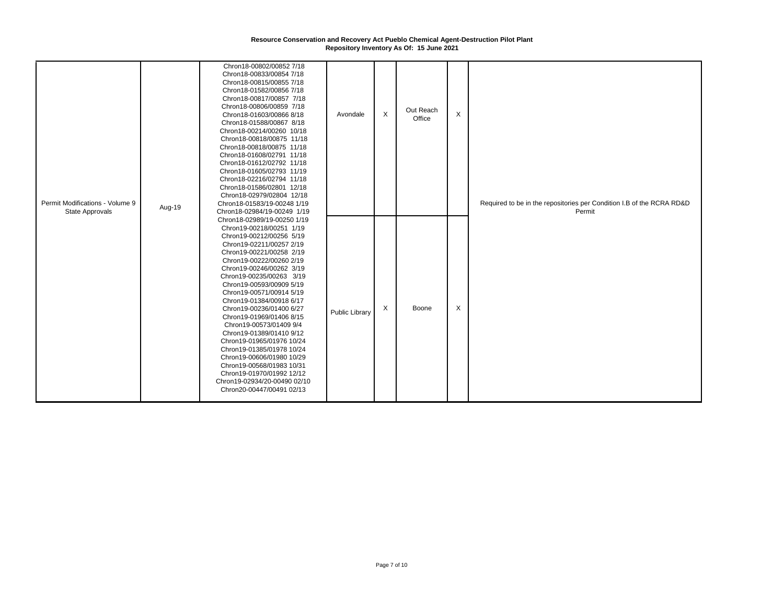| Permit Modifications - Volume 9<br><b>State Approvals</b> | Aug-19 | Chron18-00802/00852 7/18<br>Chron18-00833/00854 7/18<br>Chron18-00815/00855 7/18<br>Chron18-01582/00856 7/18<br>Chron18-00817/00857 7/18<br>Chron18-00806/00859 7/18<br>Chron18-01603/00866 8/18<br>Chron18-01588/00867 8/18<br>Chron18-00214/00260 10/18<br>Chron18-00818/00875 11/18<br>Chron18-00818/00875 11/18<br>Chron18-01608/02791 11/18<br>Chron18-01612/02792 11/18<br>Chron18-01605/02793 11/19<br>Chron18-02216/02794 11/18<br>Chron18-01586/02801 12/18<br>Chron18-02979/02804 12/18<br>Chron18-01583/19-00248 1/19<br>Chron18-02984/19-00249 1/19                                                                                  | Avondale       | $\mathsf{X}$ | Out Reach<br>Office | $\times$ | Required to be in the repositories per Condition I.B of the RCRA RD&D<br>Permit |
|-----------------------------------------------------------|--------|--------------------------------------------------------------------------------------------------------------------------------------------------------------------------------------------------------------------------------------------------------------------------------------------------------------------------------------------------------------------------------------------------------------------------------------------------------------------------------------------------------------------------------------------------------------------------------------------------------------------------------------------------|----------------|--------------|---------------------|----------|---------------------------------------------------------------------------------|
|                                                           |        | Chron18-02989/19-00250 1/19<br>Chron19-00218/00251 1/19<br>Chron19-00212/00256 5/19<br>Chron19-02211/00257 2/19<br>Chron19-00221/00258 2/19<br>Chron19-00222/00260 2/19<br>Chron19-00246/00262 3/19<br>Chron19-00235/00263 3/19<br>Chron19-00593/00909 5/19<br>Chron19-00571/00914 5/19<br>Chron19-01384/00918 6/17<br>Chron19-00236/01400 6/27<br>Chron19-01969/01406 8/15<br>Chron19-00573/01409 9/4<br>Chron19-01389/01410 9/12<br>Chron19-01965/01976 10/24<br>Chron19-01385/01978 10/24<br>Chron19-00606/01980 10/29<br>Chron19-00568/01983 10/31<br>Chron19-01970/01992 12/12<br>Chron19-02934/20-00490 02/10<br>Chron20-00447/00491 02/13 | Public Library | X            | Boone               | X        |                                                                                 |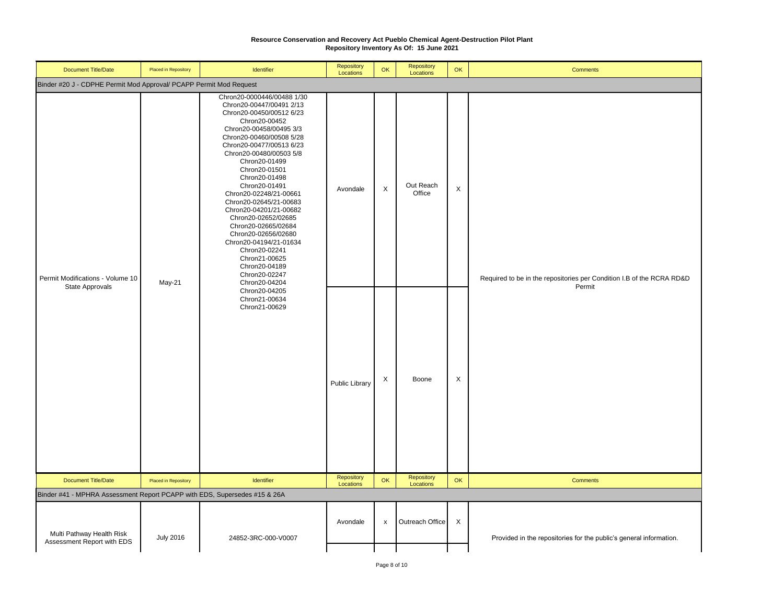| Document Title/Date                                                       | Placed in Repository                                                                                                                                            | Identifier                                                                                                                                                                                                                                                                                                                                                                                     | Repository<br>Locations | OK | Repository<br>Locations | OK | <b>Comments</b>                                                                 |
|---------------------------------------------------------------------------|-----------------------------------------------------------------------------------------------------------------------------------------------------------------|------------------------------------------------------------------------------------------------------------------------------------------------------------------------------------------------------------------------------------------------------------------------------------------------------------------------------------------------------------------------------------------------|-------------------------|----|-------------------------|----|---------------------------------------------------------------------------------|
| Binder #20 J - CDPHE Permit Mod Approval/ PCAPP Permit Mod Request        |                                                                                                                                                                 |                                                                                                                                                                                                                                                                                                                                                                                                |                         |    |                         |    |                                                                                 |
| Permit Modifications - Volume 10<br><b>State Approvals</b>                | Chron20-00452<br>Chron20-01499<br>Chron20-01501<br>Chron20-01498<br>Chron20-01491<br>Chron20-02241<br>Chron21-00625<br>Chron20-04189<br>Chron20-02247<br>May-21 | Chron20-0000446/00488 1/30<br>Chron20-00447/00491 2/13<br>Chron20-00450/00512 6/23<br>Chron20-00458/00495 3/3<br>Chron20-00460/00508 5/28<br>Chron20-00477/00513 6/23<br>Chron20-00480/00503 5/8<br>Chron20-02248/21-00661<br>Chron20-02645/21-00683<br>Chron20-04201/21-00682<br>Chron20-02652/02685<br>Chron20-02665/02684<br>Chron20-02656/02680<br>Chron20-04194/21-01634<br>Chron20-04204 | Avondale                | X  | Out Reach<br>Office     | X  | Required to be in the repositories per Condition I.B of the RCRA RD&D<br>Permit |
|                                                                           |                                                                                                                                                                 | Chron20-04205<br>Chron21-00634<br>Chron21-00629                                                                                                                                                                                                                                                                                                                                                | Public Library          | X  | Boone                   | X  |                                                                                 |
| Document Title/Date                                                       | Placed in Repository                                                                                                                                            | Identifier                                                                                                                                                                                                                                                                                                                                                                                     | Repository<br>Locations | OK | Repository<br>Locations | OK | <b>Comments</b>                                                                 |
| Binder #41 - MPHRA Assessment Report PCAPP with EDS, Supersedes #15 & 26A |                                                                                                                                                                 |                                                                                                                                                                                                                                                                                                                                                                                                |                         |    |                         |    |                                                                                 |
| Multi Pathway Health Risk<br>Assessment Report with EDS                   | <b>July 2016</b>                                                                                                                                                | 24852-3RC-000-V0007                                                                                                                                                                                                                                                                                                                                                                            | Avondale                | x  | Outreach Office         | X  | Provided in the repositories for the public's general information.              |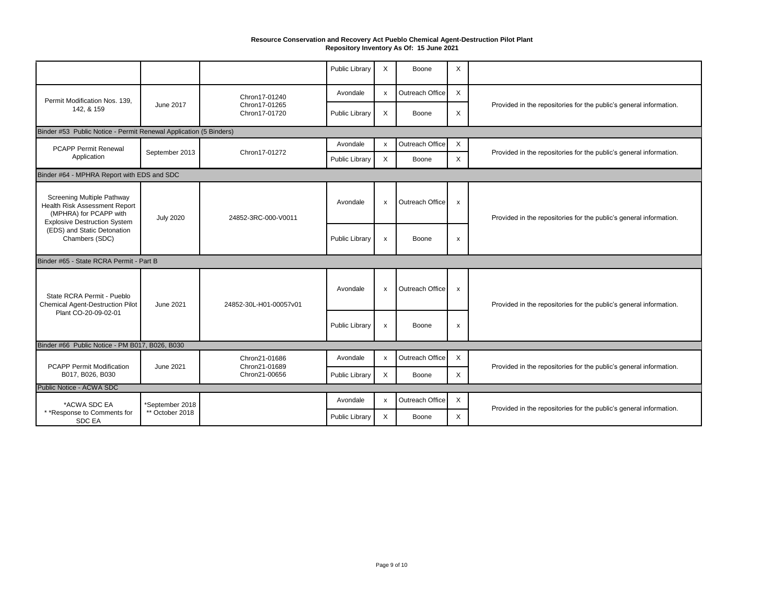|                                                                                                                              |                  |                                | <b>Public Library</b> | X            | Boone           | X                         |                                                                    |  |  |  |  |
|------------------------------------------------------------------------------------------------------------------------------|------------------|--------------------------------|-----------------------|--------------|-----------------|---------------------------|--------------------------------------------------------------------|--|--|--|--|
| Permit Modification Nos. 139,                                                                                                |                  | Chron17-01240                  | Avondale              | $\mathsf{x}$ | Outreach Office | $\mathsf{x}$              |                                                                    |  |  |  |  |
| 142, & 159                                                                                                                   | June 2017        | Chron17-01265<br>Chron17-01720 | Public Library        | X            | Boone           | X                         | Provided in the repositories for the public's general information. |  |  |  |  |
| Binder #53 Public Notice - Permit Renewal Application (5 Binders)                                                            |                  |                                |                       |              |                 |                           |                                                                    |  |  |  |  |
| <b>PCAPP Permit Renewal</b>                                                                                                  | September 2013   | Chron17-01272                  | Avondale              | x            | Outreach Office | X                         | Provided in the repositories for the public's general information. |  |  |  |  |
| Application                                                                                                                  |                  |                                | Public Library        | $\times$     | Boone           | $\mathsf{X}$              |                                                                    |  |  |  |  |
| Binder #64 - MPHRA Report with EDS and SDC                                                                                   |                  |                                |                       |              |                 |                           |                                                                    |  |  |  |  |
| Screening Multiple Pathway<br>Health Risk Assessment Report<br>(MPHRA) for PCAPP with<br><b>Explosive Destruction System</b> | <b>July 2020</b> | 24852-3RC-000-V0011            | Avondale              | $\mathsf{x}$ | Outreach Office | $\boldsymbol{\mathsf{x}}$ | Provided in the repositories for the public's general information. |  |  |  |  |
| (EDS) and Static Detonation<br>Chambers (SDC)                                                                                |                  |                                | Public Library        | $\mathsf{x}$ | Boone           | x                         |                                                                    |  |  |  |  |
| Binder #65 - State RCRA Permit - Part B                                                                                      |                  |                                |                       |              |                 |                           |                                                                    |  |  |  |  |
| State RCRA Permit - Pueblo<br><b>Chemical Agent-Destruction Pilot</b>                                                        | June 2021        | 24852-30L-H01-00057v01         | Avondale              | x            | Outreach Office | $\mathsf{x}$              | Provided in the repositories for the public's general information. |  |  |  |  |
| Plant CO-20-09-02-01                                                                                                         |                  |                                | Public Library        | $\pmb{\chi}$ | Boone           | $\mathsf{x}$              |                                                                    |  |  |  |  |
| Binder #66 Public Notice - PM B017, B026, B030                                                                               |                  |                                |                       |              |                 |                           |                                                                    |  |  |  |  |
| <b>PCAPP Permit Modification</b>                                                                                             | June 2021        | Chron21-01686<br>Chron21-01689 | Avondale              | $\mathsf{x}$ | Outreach Office | X                         | Provided in the repositories for the public's general information. |  |  |  |  |
| B017, B026, B030                                                                                                             |                  | Chron21-00656                  | Public Library        | $\mathsf{X}$ | Boone           | X                         |                                                                    |  |  |  |  |
| Public Notice - ACWA SDC                                                                                                     |                  |                                |                       |              |                 |                           |                                                                    |  |  |  |  |
| *ACWA SDC EA                                                                                                                 | *September 2018  |                                | Avondale              | $\mathsf{x}$ | Outreach Office | $\boldsymbol{\mathsf{X}}$ | Provided in the repositories for the public's general information. |  |  |  |  |
| * *Response to Comments for<br><b>SDC EA</b>                                                                                 | ** October 2018  |                                | Public Library        | $\mathsf{X}$ | Boone           | X                         |                                                                    |  |  |  |  |